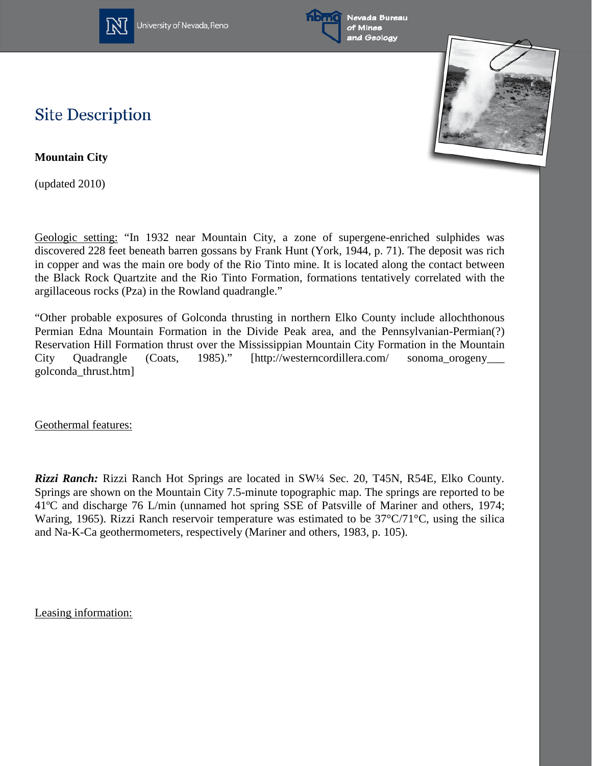

University of Nevada, Reno





## **Site Description**

**Mountain City**

(updated 2010)

Geologic setting: "In 1932 near Mountain City, a zone of supergene-enriched sulphides was discovered 228 feet beneath barren gossans by Frank Hunt (York, 1944, p. 71). The deposit was rich in copper and was the main ore body of the Rio Tinto mine. It is located along the contact between the Black Rock Quartzite and the Rio Tinto Formation, formations tentatively correlated with the argillaceous rocks (Pza) in the Rowland quadrangle."

"Other probable exposures of Golconda thrusting in northern Elko County include allochthonous Permian Edna Mountain Formation in the Divide Peak area, and the Pennsylvanian-Permian(?) Reservation Hill Formation thrust over the Mississippian Mountain City Formation in the Mountain City Quadrangle (Coats, 1985)." [http://westerncordillera.com/ sonoma\_orogeny\_\_\_ golconda\_thrust.htm]

Geothermal features:

*Rizzi Ranch:* Rizzi Ranch Hot Springs are located in SW¼ Sec. 20, T45N, R54E, Elko County. Springs are shown on the Mountain City 7.5-minute topographic map. The springs are reported to be 41ºC and discharge 76 L/min (unnamed hot spring SSE of Patsville of Mariner and others, 1974; Waring, 1965). Rizzi Ranch reservoir temperature was estimated to be 37°C/71°C, using the silica and Na-K-Ca geothermometers, respectively (Mariner and others, 1983, p. 105).

Leasing information: